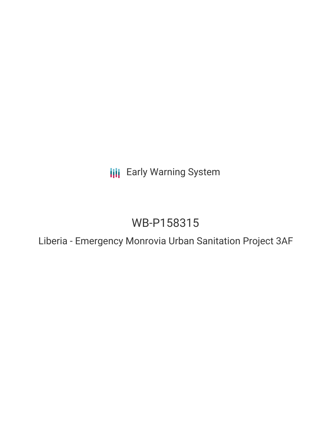**III** Early Warning System

# WB-P158315

Liberia - Emergency Monrovia Urban Sanitation Project 3AF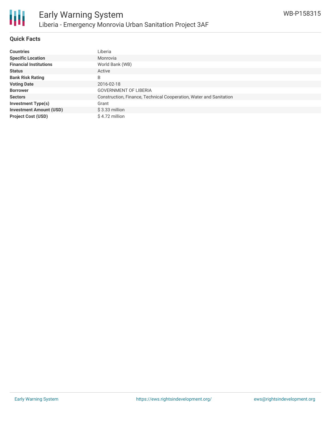

#### **Quick Facts**

| <b>Countries</b>               | Liberia                                                            |
|--------------------------------|--------------------------------------------------------------------|
| <b>Specific Location</b>       | Monrovia                                                           |
| <b>Financial Institutions</b>  | World Bank (WB)                                                    |
| <b>Status</b>                  | Active                                                             |
| <b>Bank Risk Rating</b>        | B                                                                  |
| <b>Voting Date</b>             | 2016-02-18                                                         |
| <b>Borrower</b>                | <b>GOVERNMENT OF LIBERIA</b>                                       |
| <b>Sectors</b>                 | Construction, Finance, Technical Cooperation, Water and Sanitation |
| <b>Investment Type(s)</b>      | Grant                                                              |
| <b>Investment Amount (USD)</b> | $$3.33$ million                                                    |
| <b>Project Cost (USD)</b>      | \$4.72 million                                                     |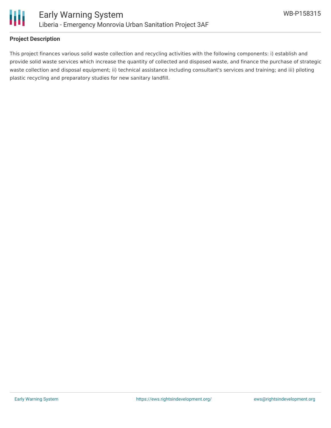

#### **Project Description**

This project finances various solid waste collection and recycling activities with the following components: i) establish and provide solid waste services which increase the quantity of collected and disposed waste, and finance the purchase of strategic waste collection and disposal equipment; ii) technical assistance including consultant's services and training; and iii) piloting plastic recycling and preparatory studies for new sanitary landfill.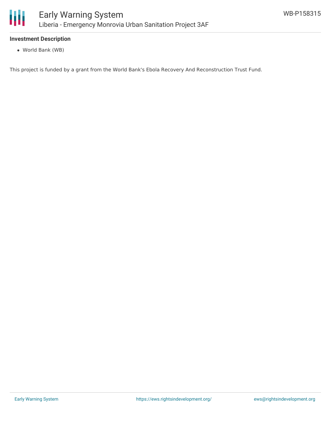

## **Investment Description**

World Bank (WB)

This project is funded by a grant from the World Bank's Ebola Recovery And Reconstruction Trust Fund.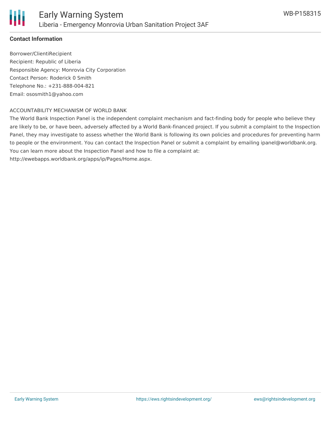

## **Contact Information**

Borrower/ClientiRecipient Recipient: Republic of Liberia Responsible Agency: Monrovia City Corporation Contact Person: Roderick 0 Smith Telephone No.: +231-888-004-821 Email: ososmith1@yahoo.com

#### ACCOUNTABILITY MECHANISM OF WORLD BANK

The World Bank Inspection Panel is the independent complaint mechanism and fact-finding body for people who believe they are likely to be, or have been, adversely affected by a World Bank-financed project. If you submit a complaint to the Inspection Panel, they may investigate to assess whether the World Bank is following its own policies and procedures for preventing harm to people or the environment. You can contact the Inspection Panel or submit a complaint by emailing ipanel@worldbank.org. You can learn more about the Inspection Panel and how to file a complaint at: http://ewebapps.worldbank.org/apps/ip/Pages/Home.aspx.